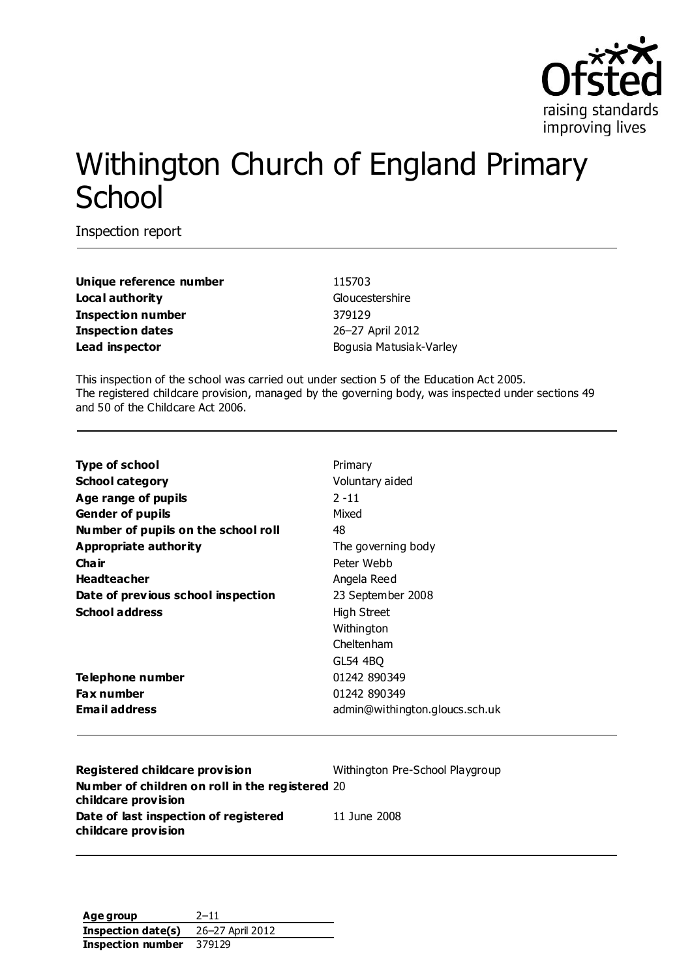

# Withington Church of England Primary **School**

Inspection report

**Unique reference number** 115703 **Local authority** Gloucestershire **Inspection number** 379129 **Inspection dates** 26–27 April 2012 **Lead inspector** Bogusia Matusiak-Varley

This inspection of the school was carried out under section 5 of the Education Act 2005. The registered childcare provision, managed by the governing body, was inspected under sections 49 and 50 of the Childcare Act 2006.

| <b>Type of school</b>               | Primary                        |
|-------------------------------------|--------------------------------|
| <b>School category</b>              | Voluntary aided                |
| Age range of pupils                 | $2 - 11$                       |
| <b>Gender of pupils</b>             | Mixed                          |
| Number of pupils on the school roll | 48                             |
| Appropriate authority               | The governing body             |
| Cha ir                              | Peter Webb                     |
| <b>Headteacher</b>                  | Angela Reed                    |
| Date of previous school inspection  | 23 September 2008              |
| <b>School address</b>               | High Street                    |
|                                     | Withington                     |
|                                     | Cheltenham                     |
|                                     | GL54 4BO                       |
| Telephone number                    | 01242 890349                   |
| <b>Fax number</b>                   | 01242 890349                   |
| Email address                       | admin@withington.gloucs.sch.uk |
|                                     |                                |

| Registered childcare provision                                         | Withington Pre-School Playgroup |
|------------------------------------------------------------------------|---------------------------------|
| Number of children on roll in the registered 20<br>childcare provision |                                 |
| Date of last inspection of registered                                  | 11 June 2008                    |
| childcare provision                                                    |                                 |

**Age group** 2–11 **Inspection date(s)** 26–27 April 2012 **Inspection number** 379129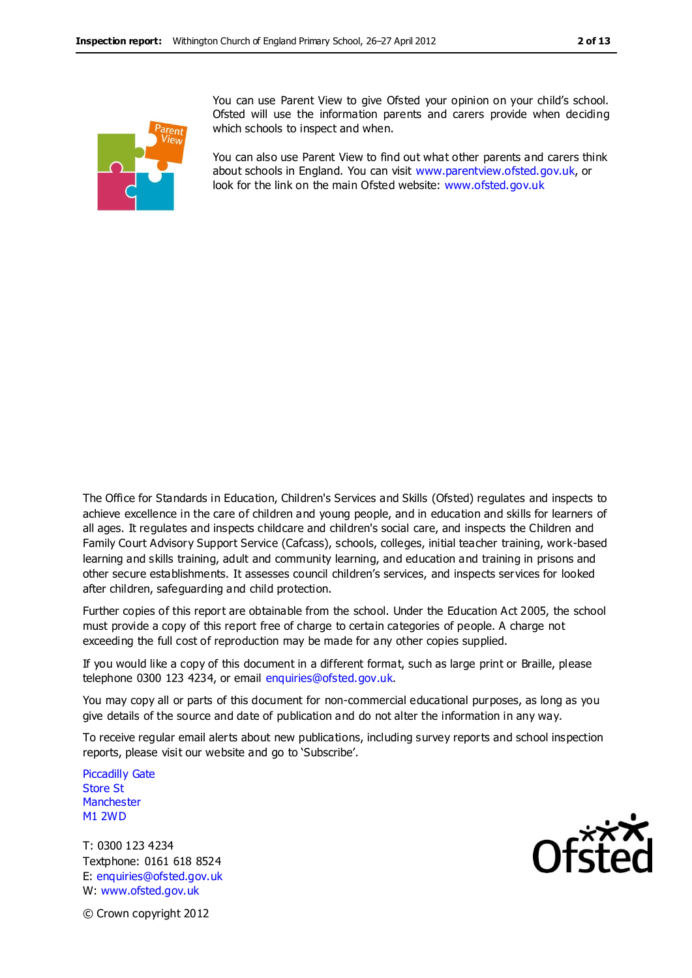

You can use Parent View to give Ofsted your opinion on your child's school. Ofsted will use the information parents and carers provide when deciding which schools to inspect and when.

You can also use Parent View to find out what other parents and carers think about schools in England. You can visit [www.parentview.ofsted.gov.uk,](http://www.parentview.ofsted.gov.uk/) or look for the link on the main Ofsted website: [www.ofsted.gov.uk](http://www.ofsted.gov.uk/)

The Office for Standards in Education, Children's Services and Skills (Ofsted) regulates and inspects to achieve excellence in the care of children and young people, and in education and skills for learners of all ages. It regulates and inspects childcare and children's social care, and inspects the Children and Family Court Advisory Support Service (Cafcass), schools, colleges, initial teacher training, work-based learning and skills training, adult and community learning, and education and training in prisons and other secure establishments. It assesses council children's services, and inspects services for looked after children, safeguarding and child protection.

Further copies of this report are obtainable from the school. Under the Education Act 2005, the school must provide a copy of this report free of charge to certain categories of people. A charge not exceeding the full cost of reproduction may be made for any other copies supplied.

If you would like a copy of this document in a different format, such as large print or Braille, please telephone 0300 123 4234, or email enquiries@ofsted.gov.uk.

You may copy all or parts of this document for non-commercial educational purposes, as long as you give details of the source and date of publication and do not alter the information in any way.

To receive regular email alerts about new publications, including survey reports and school inspection reports, please visit our website and go to 'Subscribe'.

Piccadilly Gate Store St **Manchester** M1 2WD

T: 0300 123 4234 Textphone: 0161 618 8524 E: enquiries@ofsted.gov.uk W: www.ofsted.gov.uk



© Crown copyright 2012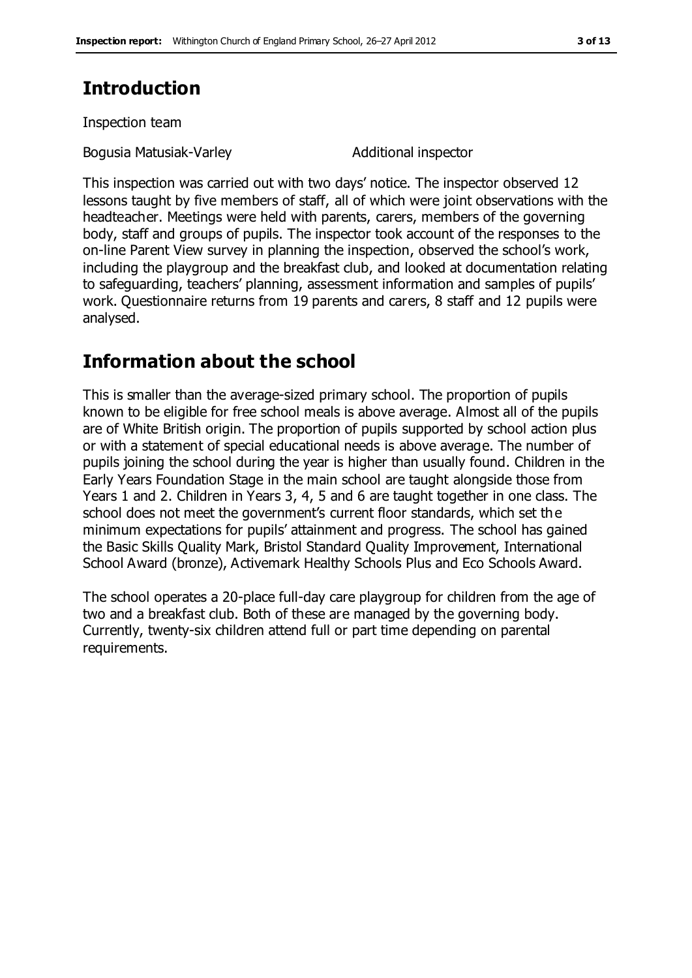# **Introduction**

Inspection team

Bogusia Matusiak-Varley Matusiak-Varley Additional inspector

This inspection was carried out with two days' notice. The inspector observed 12 lessons taught by five members of staff, all of which were joint observations with the headteacher. Meetings were held with parents, carers, members of the governing body, staff and groups of pupils. The inspector took account of the responses to the on-line Parent View survey in planning the inspection, observed the school's work, including the playgroup and the breakfast club, and looked at documentation relating to safeguarding, teachers' planning, assessment information and samples of pupils' work. Questionnaire returns from 19 parents and carers, 8 staff and 12 pupils were analysed.

# **Information about the school**

This is smaller than the average-sized primary school. The proportion of pupils known to be eligible for free school meals is above average. Almost all of the pupils are of White British origin. The proportion of pupils supported by school action plus or with a statement of special educational needs is above average. The number of pupils joining the school during the year is higher than usually found. Children in the Early Years Foundation Stage in the main school are taught alongside those from Years 1 and 2. Children in Years 3, 4, 5 and 6 are taught together in one class. The school does not meet the government's current floor standards, which set the minimum expectations for pupils' attainment and progress. The school has gained the Basic Skills Quality Mark, Bristol Standard Quality Improvement, International School Award (bronze), Activemark Healthy Schools Plus and Eco Schools Award.

The school operates a 20-place full-day care playgroup for children from the age of two and a breakfast club. Both of these are managed by the governing body. Currently, twenty-six children attend full or part time depending on parental requirements.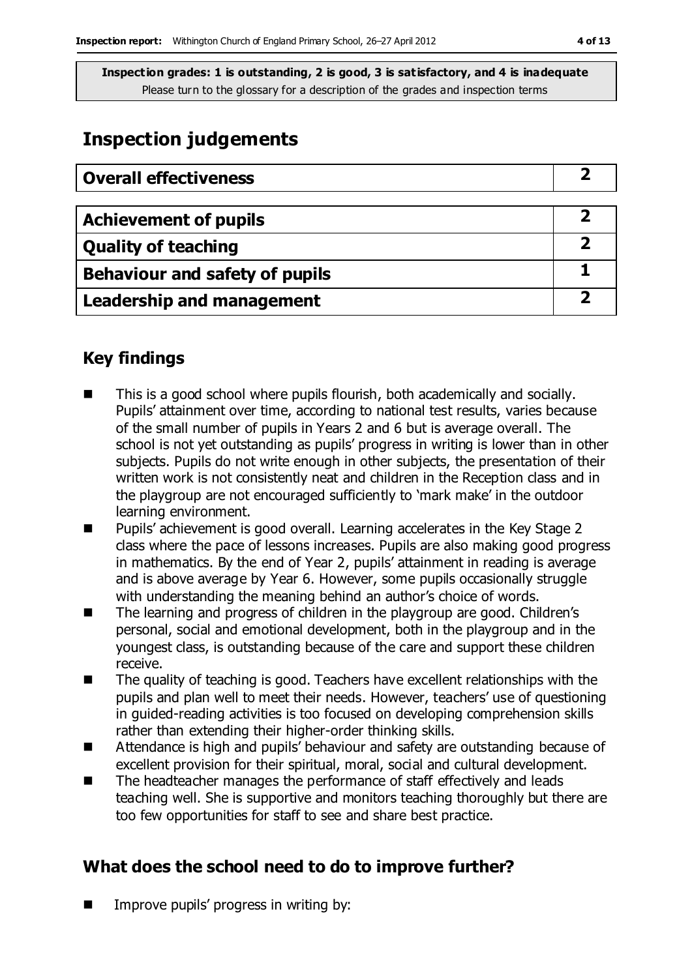# **Inspection judgements**

| <b>Overall effectiveness</b>     |  |
|----------------------------------|--|
|                                  |  |
| <b>Achievement of pupils</b>     |  |
| <b>Quality of teaching</b>       |  |
| Behaviour and safety of pupils   |  |
| <b>Leadership and management</b> |  |

### **Key findings**

- This is a good school where pupils flourish, both academically and socially. Pupils' attainment over time, according to national test results, varies because of the small number of pupils in Years 2 and 6 but is average overall. The school is not yet outstanding as pupils' progress in writing is lower than in other subjects. Pupils do not write enough in other subjects, the presentation of their written work is not consistently neat and children in the Reception class and in the playgroup are not encouraged sufficiently to 'mark make' in the outdoor learning environment.
- Pupils' achievement is good overall. Learning accelerates in the Key Stage 2 class where the pace of lessons increases. Pupils are also making good progress in mathematics. By the end of Year 2, pupils' attainment in reading is average and is above average by Year 6. However, some pupils occasionally struggle with understanding the meaning behind an author's choice of words.
- The learning and progress of children in the playgroup are good. Children's personal, social and emotional development, both in the playgroup and in the youngest class, is outstanding because of the care and support these children receive.
- The quality of teaching is good. Teachers have excellent relationships with the pupils and plan well to meet their needs. However, teachers' use of questioning in guided-reading activities is too focused on developing comprehension skills rather than extending their higher-order thinking skills.
- Attendance is high and pupils' behaviour and safety are outstanding because of excellent provision for their spiritual, moral, social and cultural development.
- The headteacher manages the performance of staff effectively and leads teaching well. She is supportive and monitors teaching thoroughly but there are too few opportunities for staff to see and share best practice.

### **What does the school need to do to improve further?**

**IMPROVE pupils' progress in writing by:**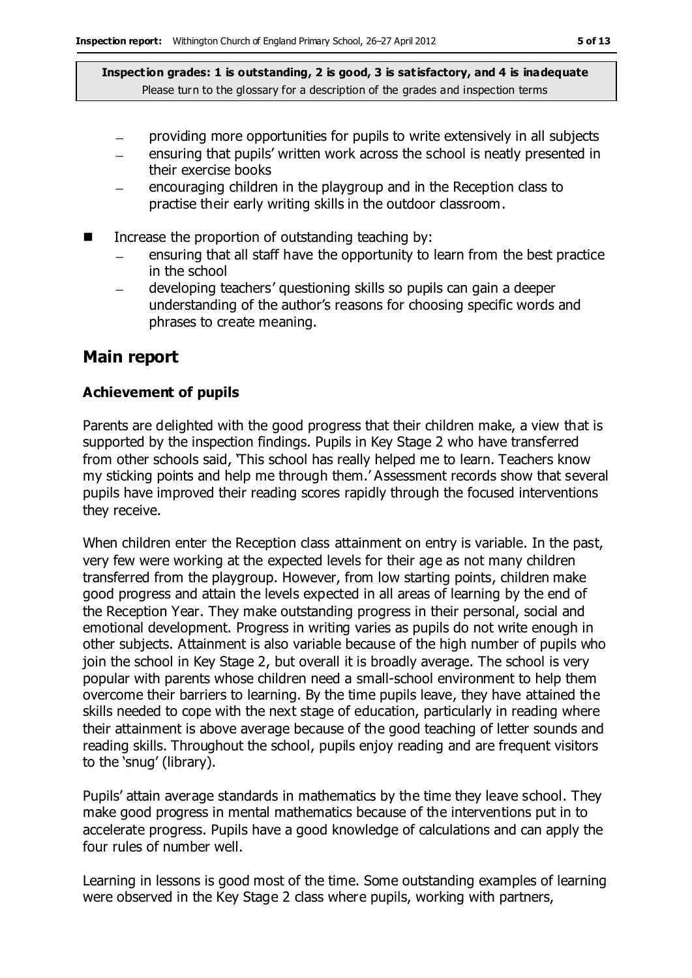- providing more opportunities for pupils to write extensively in all subjects
- ensuring that pupils' written work across the school is neatly presented in their exercise books
- encouraging children in the playgroup and in the Reception class to practise their early writing skills in the outdoor classroom.
- $\blacksquare$  Increase the proportion of outstanding teaching by:
	- ensuring that all staff have the opportunity to learn from the best practice in the school
	- developing teachers' questioning skills so pupils can gain a deeper  $\equiv$ understanding of the author's reasons for choosing specific words and phrases to create meaning.

#### **Main report**

#### **Achievement of pupils**

Parents are delighted with the good progress that their children make, a view that is supported by the inspection findings. Pupils in Key Stage 2 who have transferred from other schools said, 'This school has really helped me to learn. Teachers know my sticking points and help me through them.' Assessment records show that several pupils have improved their reading scores rapidly through the focused interventions they receive.

When children enter the Reception class attainment on entry is variable. In the past, very few were working at the expected levels for their age as not many children transferred from the playgroup. However, from low starting points, children make good progress and attain the levels expected in all areas of learning by the end of the Reception Year. They make outstanding progress in their personal, social and emotional development. Progress in writing varies as pupils do not write enough in other subjects. Attainment is also variable because of the high number of pupils who join the school in Key Stage 2, but overall it is broadly average. The school is very popular with parents whose children need a small-school environment to help them overcome their barriers to learning. By the time pupils leave, they have attained the skills needed to cope with the next stage of education, particularly in reading where their attainment is above average because of the good teaching of letter sounds and reading skills. Throughout the school, pupils enjoy reading and are frequent visitors to the 'snug' (library).

Pupils' attain average standards in mathematics by the time they leave school. They make good progress in mental mathematics because of the interventions put in to accelerate progress. Pupils have a good knowledge of calculations and can apply the four rules of number well.

Learning in lessons is good most of the time. Some outstanding examples of learning were observed in the Key Stage 2 class where pupils, working with partners,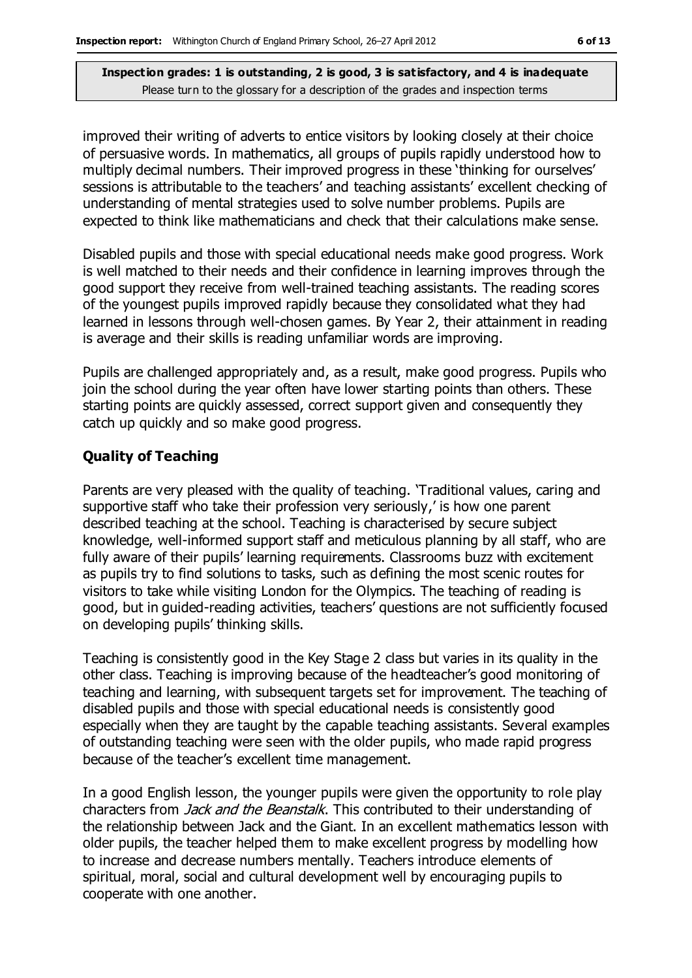improved their writing of adverts to entice visitors by looking closely at their choice of persuasive words. In mathematics, all groups of pupils rapidly understood how to multiply decimal numbers. Their improved progress in these 'thinking for ourselves' sessions is attributable to the teachers' and teaching assistants' excellent checking of understanding of mental strategies used to solve number problems. Pupils are expected to think like mathematicians and check that their calculations make sense.

Disabled pupils and those with special educational needs make good progress. Work is well matched to their needs and their confidence in learning improves through the good support they receive from well-trained teaching assistants. The reading scores of the youngest pupils improved rapidly because they consolidated what they had learned in lessons through well-chosen games. By Year 2, their attainment in reading is average and their skills is reading unfamiliar words are improving.

Pupils are challenged appropriately and, as a result, make good progress. Pupils who join the school during the year often have lower starting points than others. These starting points are quickly assessed, correct support given and consequently they catch up quickly and so make good progress.

#### **Quality of Teaching**

Parents are very pleased with the quality of teaching. 'Traditional values, caring and supportive staff who take their profession very seriously,' is how one parent described teaching at the school. Teaching is characterised by secure subject knowledge, well-informed support staff and meticulous planning by all staff, who are fully aware of their pupils' learning requirements. Classrooms buzz with excitement as pupils try to find solutions to tasks, such as defining the most scenic routes for visitors to take while visiting London for the Olympics. The teaching of reading is good, but in guided-reading activities, teachers' questions are not sufficiently focused on developing pupils' thinking skills.

Teaching is consistently good in the Key Stage 2 class but varies in its quality in the other class. Teaching is improving because of the headteacher's good monitoring of teaching and learning, with subsequent targets set for improvement. The teaching of disabled pupils and those with special educational needs is consistently good especially when they are taught by the capable teaching assistants. Several examples of outstanding teaching were seen with the older pupils, who made rapid progress because of the teacher's excellent time management.

In a good English lesson, the younger pupils were given the opportunity to role play characters from *Jack and the Beanstalk*. This contributed to their understanding of the relationship between Jack and the Giant. In an excellent mathematics lesson with older pupils, the teacher helped them to make excellent progress by modelling how to increase and decrease numbers mentally. Teachers introduce elements of spiritual, moral, social and cultural development well by encouraging pupils to cooperate with one another.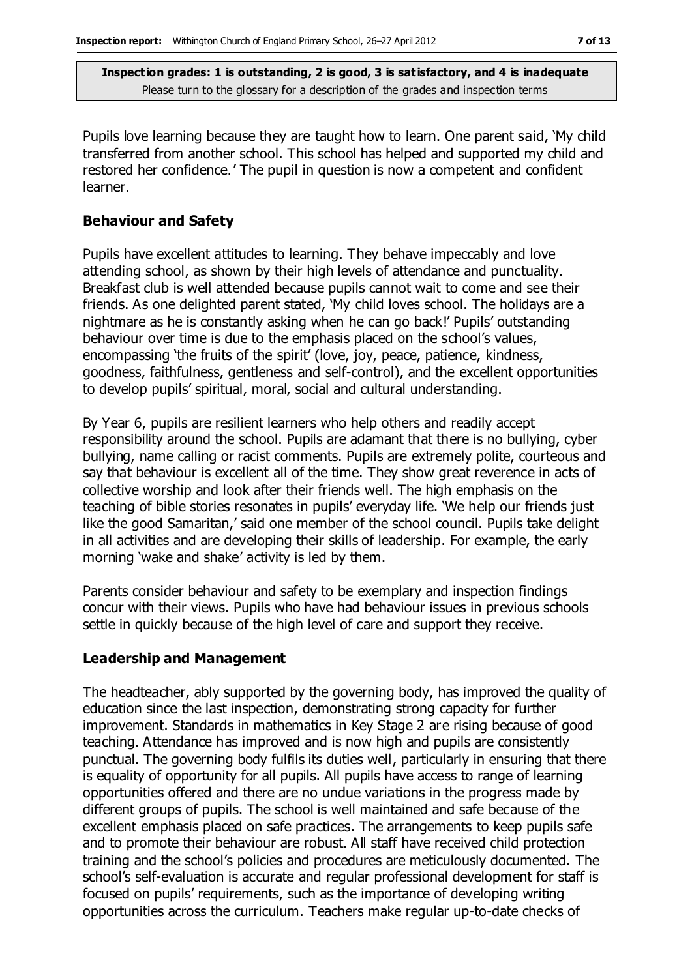Pupils love learning because they are taught how to learn. One parent said, 'My child transferred from another school. This school has helped and supported my child and restored her confidence.' The pupil in question is now a competent and confident learner.

#### **Behaviour and Safety**

Pupils have excellent attitudes to learning. They behave impeccably and love attending school, as shown by their high levels of attendance and punctuality. Breakfast club is well attended because pupils cannot wait to come and see their friends. As one delighted parent stated, 'My child loves school. The holidays are a nightmare as he is constantly asking when he can go back!' Pupils' outstanding behaviour over time is due to the emphasis placed on the school's values, encompassing 'the fruits of the spirit' (love, joy, peace, patience, kindness, goodness, faithfulness, gentleness and self-control), and the excellent opportunities to develop pupils' spiritual, moral, social and cultural understanding.

By Year 6, pupils are resilient learners who help others and readily accept responsibility around the school. Pupils are adamant that there is no bullying, cyber bullying, name calling or racist comments. Pupils are extremely polite, courteous and say that behaviour is excellent all of the time. They show great reverence in acts of collective worship and look after their friends well. The high emphasis on the teaching of bible stories resonates in pupils' everyday life. 'We help our friends just like the good Samaritan,' said one member of the school council. Pupils take delight in all activities and are developing their skills of leadership. For example, the early morning 'wake and shake' activity is led by them.

Parents consider behaviour and safety to be exemplary and inspection findings concur with their views. Pupils who have had behaviour issues in previous schools settle in quickly because of the high level of care and support they receive.

#### **Leadership and Management**

The headteacher, ably supported by the governing body, has improved the quality of education since the last inspection, demonstrating strong capacity for further improvement. Standards in mathematics in Key Stage 2 are rising because of good teaching. Attendance has improved and is now high and pupils are consistently punctual. The governing body fulfils its duties well, particularly in ensuring that there is equality of opportunity for all pupils. All pupils have access to range of learning opportunities offered and there are no undue variations in the progress made by different groups of pupils. The school is well maintained and safe because of the excellent emphasis placed on safe practices. The arrangements to keep pupils safe and to promote their behaviour are robust. All staff have received child protection training and the school's policies and procedures are meticulously documented. The school's self-evaluation is accurate and regular professional development for staff is focused on pupils' requirements, such as the importance of developing writing opportunities across the curriculum. Teachers make regular up-to-date checks of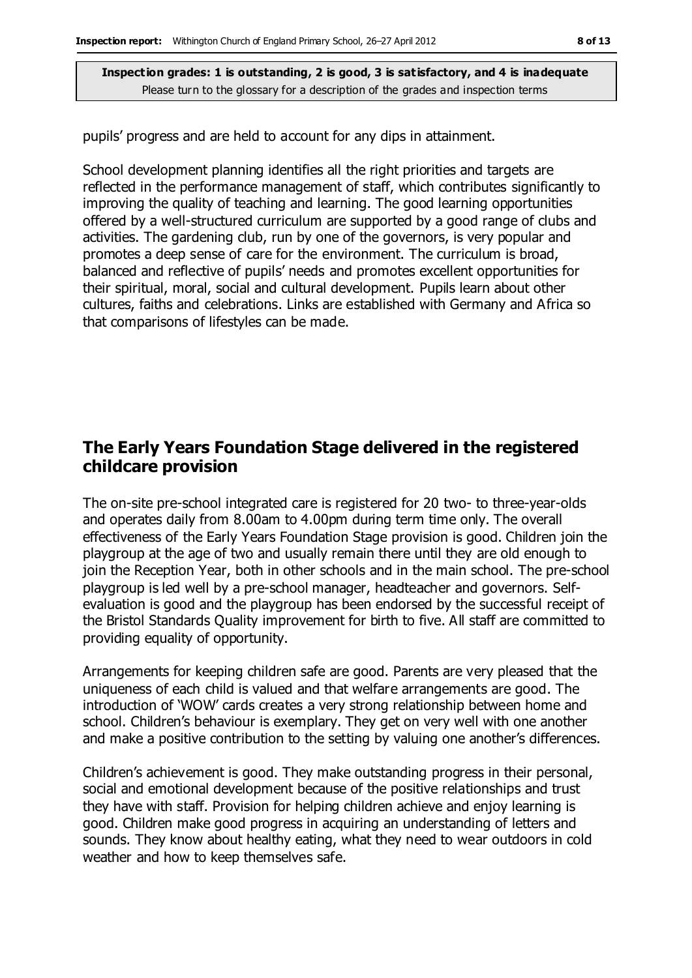pupils' progress and are held to account for any dips in attainment.

School development planning identifies all the right priorities and targets are reflected in the performance management of staff, which contributes significantly to improving the quality of teaching and learning. The good learning opportunities offered by a well-structured curriculum are supported by a good range of clubs and activities. The gardening club, run by one of the governors, is very popular and promotes a deep sense of care for the environment. The curriculum is broad, balanced and reflective of pupils' needs and promotes excellent opportunities for their spiritual, moral, social and cultural development. Pupils learn about other cultures, faiths and celebrations. Links are established with Germany and Africa so that comparisons of lifestyles can be made.

### **The Early Years Foundation Stage delivered in the registered childcare provision**

The on-site pre-school integrated care is registered for 20 two- to three-year-olds and operates daily from 8.00am to 4.00pm during term time only. The overall effectiveness of the Early Years Foundation Stage provision is good. Children join the playgroup at the age of two and usually remain there until they are old enough to join the Reception Year, both in other schools and in the main school. The pre-school playgroup is led well by a pre-school manager, headteacher and governors. Selfevaluation is good and the playgroup has been endorsed by the successful receipt of the Bristol Standards Quality improvement for birth to five. All staff are committed to providing equality of opportunity.

Arrangements for keeping children safe are good. Parents are very pleased that the uniqueness of each child is valued and that welfare arrangements are good. The introduction of 'WOW' cards creates a very strong relationship between home and school. Children's behaviour is exemplary. They get on very well with one another and make a positive contribution to the setting by valuing one another's differences.

Children's achievement is good. They make outstanding progress in their personal, social and emotional development because of the positive relationships and trust they have with staff. Provision for helping children achieve and enjoy learning is good. Children make good progress in acquiring an understanding of letters and sounds. They know about healthy eating, what they need to wear outdoors in cold weather and how to keep themselves safe.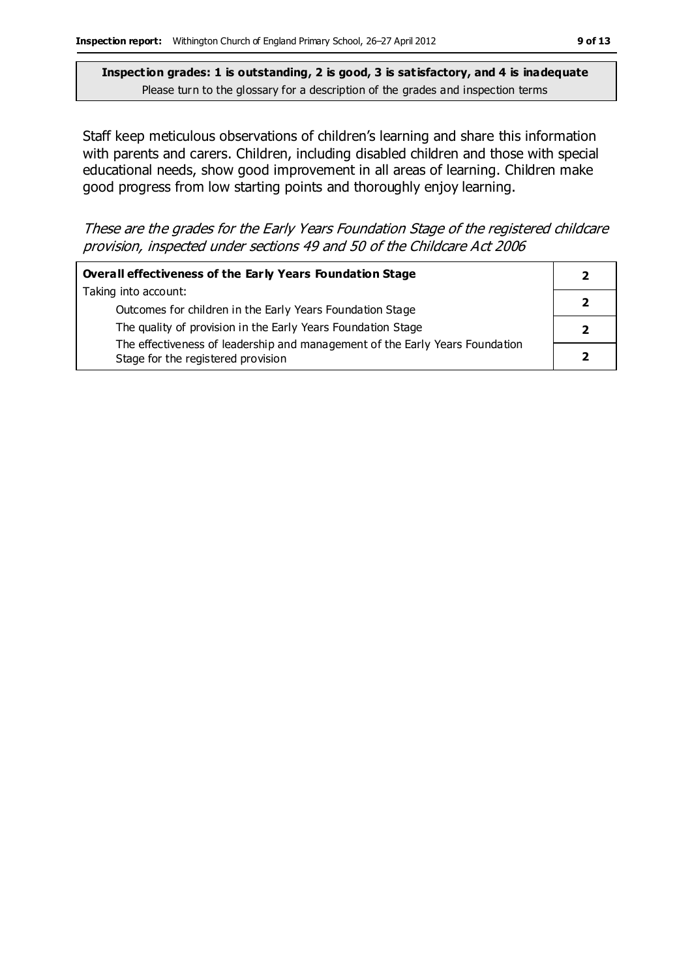Staff keep meticulous observations of children's learning and share this information with parents and carers. Children, including disabled children and those with special educational needs, show good improvement in all areas of learning. Children make good progress from low starting points and thoroughly enjoy learning.

These are the grades for the Early Years Foundation Stage of the registered childcare provision, inspected under sections 49 and 50 of the Childcare Act 2006

| Overall effectiveness of the Early Years Foundation Stage                                                          |  |
|--------------------------------------------------------------------------------------------------------------------|--|
| Taking into account:                                                                                               |  |
| Outcomes for children in the Early Years Foundation Stage                                                          |  |
| The quality of provision in the Early Years Foundation Stage                                                       |  |
| The effectiveness of leadership and management of the Early Years Foundation<br>Stage for the registered provision |  |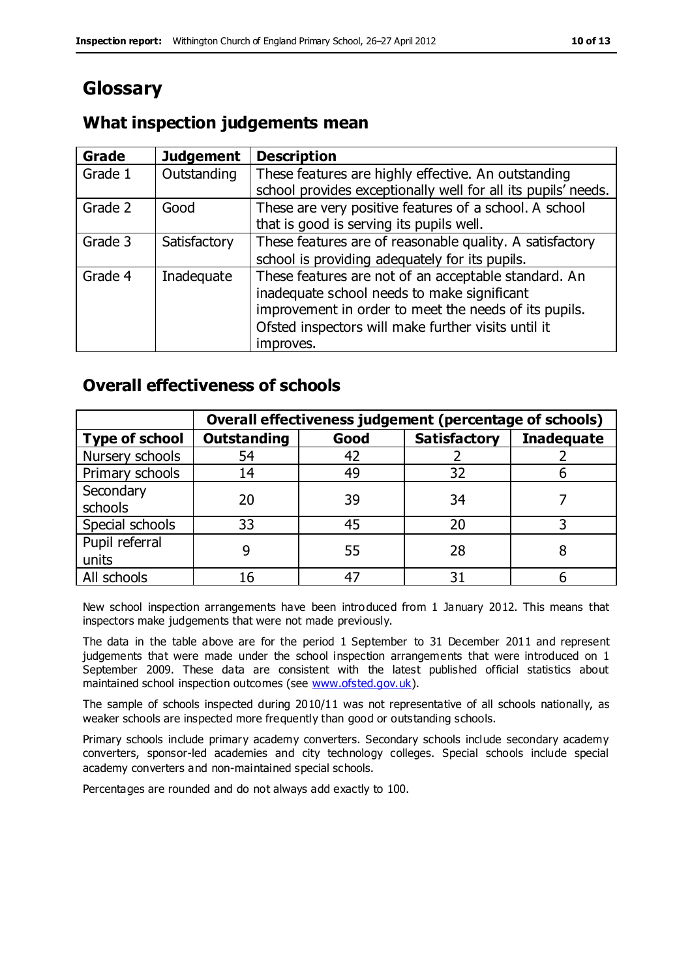# **Glossary**

### **What inspection judgements mean**

| <b>Grade</b> | <b>Judgement</b> | <b>Description</b>                                                                                                                                                                                                  |
|--------------|------------------|---------------------------------------------------------------------------------------------------------------------------------------------------------------------------------------------------------------------|
| Grade 1      | Outstanding      | These features are highly effective. An outstanding<br>school provides exceptionally well for all its pupils' needs.                                                                                                |
| Grade 2      | Good             | These are very positive features of a school. A school                                                                                                                                                              |
|              |                  | that is good is serving its pupils well.                                                                                                                                                                            |
| Grade 3      | Satisfactory     | These features are of reasonable quality. A satisfactory                                                                                                                                                            |
|              |                  | school is providing adequately for its pupils.                                                                                                                                                                      |
| Grade 4      | Inadequate       | These features are not of an acceptable standard. An<br>inadequate school needs to make significant<br>improvement in order to meet the needs of its pupils.<br>Ofsted inspectors will make further visits until it |
|              |                  | improves.                                                                                                                                                                                                           |

### **Overall effectiveness of schools**

|                         | Overall effectiveness judgement (percentage of schools) |      |                     |                   |
|-------------------------|---------------------------------------------------------|------|---------------------|-------------------|
| <b>Type of school</b>   | <b>Outstanding</b>                                      | Good | <b>Satisfactory</b> | <b>Inadequate</b> |
| Nursery schools         | 54                                                      | 42   |                     |                   |
| Primary schools         | 14                                                      | 49   | 32                  |                   |
| Secondary<br>schools    | 20                                                      | 39   | 34                  |                   |
| Special schools         | 33                                                      | 45   | 20                  |                   |
| Pupil referral<br>units |                                                         | 55   | 28                  |                   |
| All schools             | 16                                                      | 47   | 31                  |                   |

New school inspection arrangements have been introduced from 1 January 2012. This means that inspectors make judgements that were not made previously.

The data in the table above are for the period 1 September to 31 December 2011 and represent judgements that were made under the school inspection arrangements that were introduced on 1 September 2009. These data are consistent with the latest published official statistics about maintained school inspection outcomes (see [www.ofsted.gov.uk\)](http://www.ofsted.gov.uk/).

The sample of schools inspected during 2010/11 was not representative of all schools nationally, as weaker schools are inspected more frequently than good or outstanding schools.

Primary schools include primary academy converters. Secondary schools include secondary academy converters, sponsor-led academies and city technology colleges. Special schools include special academy converters and non-maintained special schools.

Percentages are rounded and do not always add exactly to 100.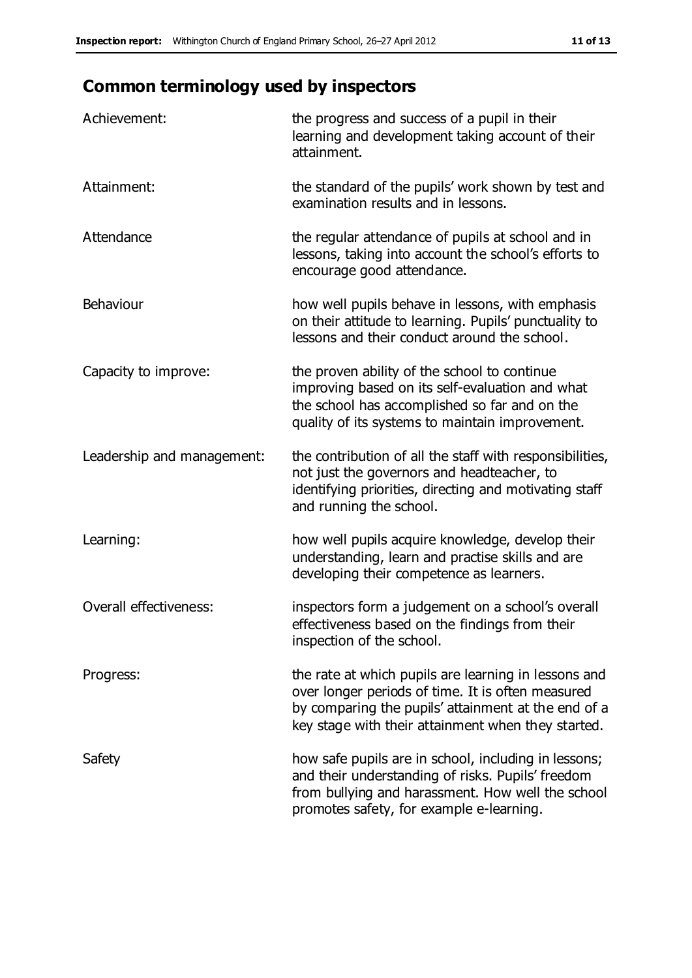# **Common terminology used by inspectors**

| Achievement:                  | the progress and success of a pupil in their<br>learning and development taking account of their<br>attainment.                                                                                                        |
|-------------------------------|------------------------------------------------------------------------------------------------------------------------------------------------------------------------------------------------------------------------|
| Attainment:                   | the standard of the pupils' work shown by test and<br>examination results and in lessons.                                                                                                                              |
| Attendance                    | the regular attendance of pupils at school and in<br>lessons, taking into account the school's efforts to<br>encourage good attendance.                                                                                |
| Behaviour                     | how well pupils behave in lessons, with emphasis<br>on their attitude to learning. Pupils' punctuality to<br>lessons and their conduct around the school.                                                              |
| Capacity to improve:          | the proven ability of the school to continue<br>improving based on its self-evaluation and what<br>the school has accomplished so far and on the<br>quality of its systems to maintain improvement.                    |
| Leadership and management:    | the contribution of all the staff with responsibilities,<br>not just the governors and headteacher, to<br>identifying priorities, directing and motivating staff<br>and running the school.                            |
| Learning:                     | how well pupils acquire knowledge, develop their<br>understanding, learn and practise skills and are<br>developing their competence as learners.                                                                       |
| <b>Overall effectiveness:</b> | inspectors form a judgement on a school's overall<br>effectiveness based on the findings from their<br>inspection of the school.                                                                                       |
| Progress:                     | the rate at which pupils are learning in lessons and<br>over longer periods of time. It is often measured<br>by comparing the pupils' attainment at the end of a<br>key stage with their attainment when they started. |
| Safety                        | how safe pupils are in school, including in lessons;<br>and their understanding of risks. Pupils' freedom<br>from bullying and harassment. How well the school<br>promotes safety, for example e-learning.             |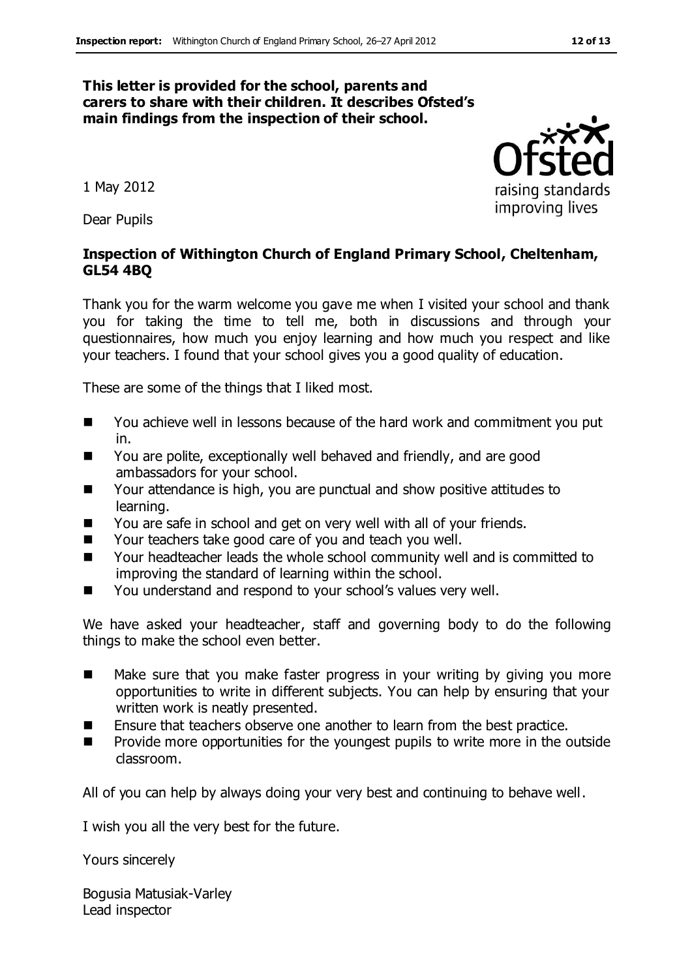#### **This letter is provided for the school, parents and carers to share with their children. It describes Ofsted's main findings from the inspection of their school.**

1 May 2012

Dear Pupils

#### **Inspection of Withington Church of England Primary School, Cheltenham, GL54 4BQ**

Thank you for the warm welcome you gave me when I visited your school and thank you for taking the time to tell me, both in discussions and through your questionnaires, how much you enjoy learning and how much you respect and like your teachers. I found that your school gives you a good quality of education.

These are some of the things that I liked most.

- You achieve well in lessons because of the hard work and commitment you put in.
- You are polite, exceptionally well behaved and friendly, and are good ambassadors for your school.
- Your attendance is high, you are punctual and show positive attitudes to learning.
- You are safe in school and get on very well with all of your friends.
- Your teachers take good care of you and teach you well.
- Your headteacher leads the whole school community well and is committed to improving the standard of learning within the school.
- You understand and respond to your school's values very well.

We have asked your headteacher, staff and governing body to do the following things to make the school even better.

- Make sure that you make faster progress in your writing by giving you more opportunities to write in different subjects. You can help by ensuring that your written work is neatly presented.
- **E** Ensure that teachers observe one another to learn from the best practice.
- **Provide more opportunities for the youngest pupils to write more in the outside** classroom.

All of you can help by always doing your very best and continuing to behave well.

I wish you all the very best for the future.

Yours sincerely

Bogusia Matusiak-Varley Lead inspector